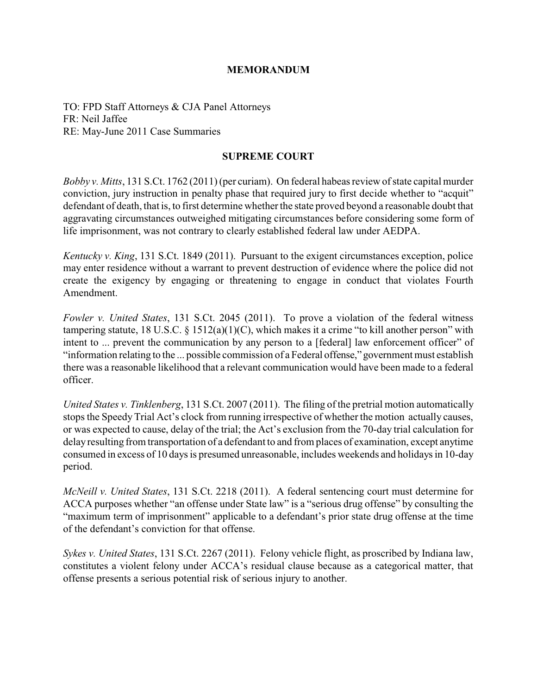# **MEMORANDUM**

TO: FPD Staff Attorneys & CJA Panel Attorneys FR: Neil Jaffee RE: May-June 2011 Case Summaries

### **SUPREME COURT**

*Bobby v. Mitts*, 131 S.Ct. 1762 (2011) (per curiam). On federal habeas review of state capital murder conviction, jury instruction in penalty phase that required jury to first decide whether to "acquit" defendant of death, that is, to first determine whether the state proved beyond a reasonable doubt that aggravating circumstances outweighed mitigating circumstances before considering some form of life imprisonment, was not contrary to clearly established federal law under AEDPA.

*Kentucky v. King*, 131 S.Ct. 1849 (2011). Pursuant to the exigent circumstances exception, police may enter residence without a warrant to prevent destruction of evidence where the police did not create the exigency by engaging or threatening to engage in conduct that violates Fourth Amendment.

*Fowler v. United States*, 131 S.Ct. 2045 (2011). To prove a violation of the federal witness tampering statute, 18 U.S.C. § 1512(a)(1)(C), which makes it a crime "to kill another person" with intent to ... prevent the communication by any person to a [federal] law enforcement officer" of "information relating to the ... possible commission of a Federal offense," government must establish there was a reasonable likelihood that a relevant communication would have been made to a federal officer.

*United States v. Tinklenberg*, 131 S.Ct. 2007 (2011). The filing of the pretrial motion automatically stops the SpeedyTrial Act's clock from running irrespective of whether the motion actually causes, or was expected to cause, delay of the trial; the Act's exclusion from the 70-day trial calculation for delayresulting from transportation of a defendant to and from places of examination, except anytime consumed in excess of 10 days is presumed unreasonable, includes weekends and holidays in 10-day period.

*McNeill v. United States*, 131 S.Ct. 2218 (2011). A federal sentencing court must determine for ACCA purposes whether "an offense under State law" is a "serious drug offense" by consulting the "maximum term of imprisonment" applicable to a defendant's prior state drug offense at the time of the defendant's conviction for that offense.

*Sykes v. United States*, 131 S.Ct. 2267 (2011). Felony vehicle flight, as proscribed by Indiana law, constitutes a violent felony under ACCA's residual clause because as a categorical matter, that offense presents a serious potential risk of serious injury to another.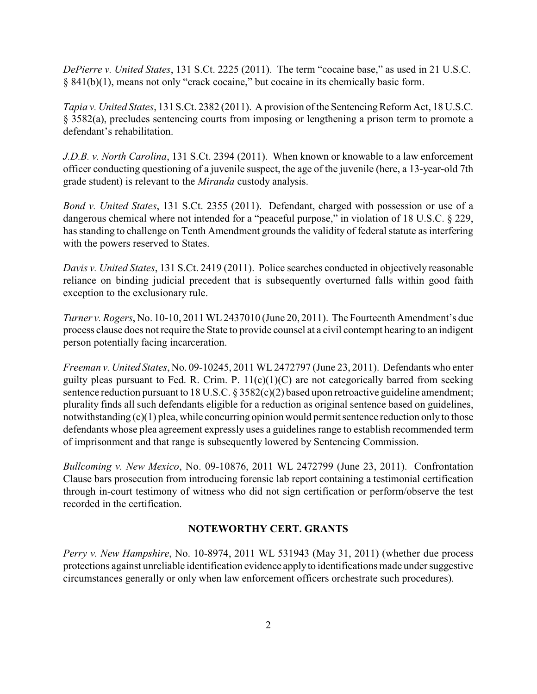*DePierre v. United States*, 131 S.Ct. 2225 (2011). The term "cocaine base," as used in 21 U.S.C. § 841(b)(1), means not only "crack cocaine," but cocaine in its chemically basic form.

*Tapia v. United States*, 131 S.Ct. 2382 (2011). A provision of the SentencingReform Act, 18 U.S.C. § 3582(a), precludes sentencing courts from imposing or lengthening a prison term to promote a defendant's rehabilitation.

*J.D.B. v. North Carolina*, 131 S.Ct. 2394 (2011). When known or knowable to a law enforcement officer conducting questioning of a juvenile suspect, the age of the juvenile (here, a 13-year-old 7th grade student) is relevant to the *Miranda* custody analysis.

*Bond v. United States*, 131 S.Ct. 2355 (2011). Defendant, charged with possession or use of a dangerous chemical where not intended for a "peaceful purpose," in violation of 18 U.S.C. § 229, has standing to challenge on Tenth Amendment grounds the validity of federal statute as interfering with the powers reserved to States.

*Davis v. United States*, 131 S.Ct. 2419 (2011). Police searches conducted in objectively reasonable reliance on binding judicial precedent that is subsequently overturned falls within good faith exception to the exclusionary rule.

*Turner v. Rogers*, No. 10-10, 2011 WL2437010 (June 20, 2011). The Fourteenth Amendment's due process clause does not require the State to provide counsel at a civil contempt hearing to an indigent person potentially facing incarceration.

*Freeman v. United States*, No. 09-10245, 2011 WL2472797 (June 23, 2011). Defendants who enter guilty pleas pursuant to Fed. R. Crim. P.  $11(c)(1)(C)$  are not categorically barred from seeking sentence reduction pursuant to 18 U.S.C. § 3582(c)(2) based upon retroactive guideline amendment; plurality finds all such defendants eligible for a reduction as original sentence based on guidelines, notwithstanding (c)(1) plea, while concurring opinion would permit sentence reduction only to those defendants whose plea agreement expressly uses a guidelines range to establish recommended term of imprisonment and that range is subsequently lowered by Sentencing Commission.

*Bullcoming v. New Mexico*, No. 09-10876, 2011 WL 2472799 (June 23, 2011). Confrontation Clause bars prosecution from introducing forensic lab report containing a testimonial certification through in-court testimony of witness who did not sign certification or perform/observe the test recorded in the certification.

# **NOTEWORTHY CERT. GRANTS**

*Perry v. New Hampshire*, No. 10-8974, 2011 WL 531943 (May 31, 2011) (whether due process protections against unreliable identification evidence applyto identifications made under suggestive circumstances generally or only when law enforcement officers orchestrate such procedures).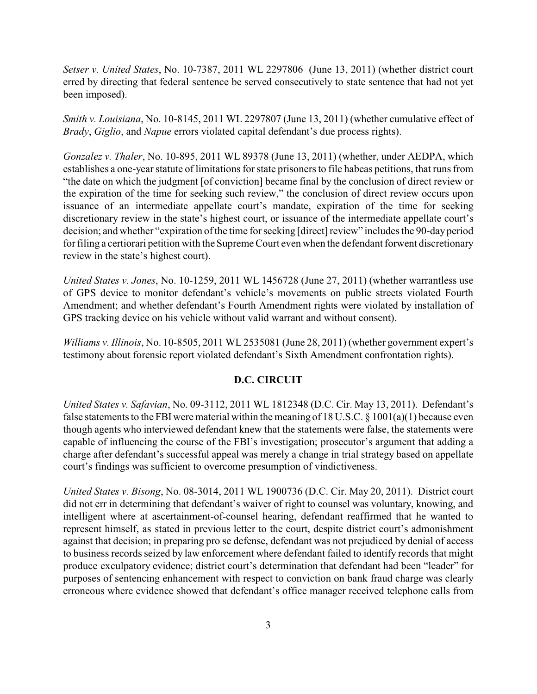*Setser v. United States*, No. 10-7387, 2011 WL 2297806 (June 13, 2011) (whether district court erred by directing that federal sentence be served consecutively to state sentence that had not yet been imposed).

*Smith v. Louisiana*, No. 10-8145, 2011 WL 2297807 (June 13, 2011) (whether cumulative effect of *Brady*, *Giglio*, and *Napue* errors violated capital defendant's due process rights).

*Gonzalez v. Thaler*, No. 10-895, 2011 WL 89378 (June 13, 2011) (whether, under AEDPA, which establishes a one-year statute of limitations for state prisoners to file habeas petitions, that runs from "the date on which the judgment [of conviction] became final by the conclusion of direct review or the expiration of the time for seeking such review," the conclusion of direct review occurs upon issuance of an intermediate appellate court's mandate, expiration of the time for seeking discretionary review in the state's highest court, or issuance of the intermediate appellate court's decision; and whether "expiration of the time for seeking [direct] review" includes the 90-day period for filing a certiorari petition with the Supreme Court even when the defendant forwent discretionary review in the state's highest court).

*United States v. Jones*, No. 10-1259, 2011 WL 1456728 (June 27, 2011) (whether warrantless use of GPS device to monitor defendant's vehicle's movements on public streets violated Fourth Amendment; and whether defendant's Fourth Amendment rights were violated by installation of GPS tracking device on his vehicle without valid warrant and without consent).

*Williams v. Illinois*, No. 10-8505, 2011 WL 2535081 (June 28, 2011) (whether government expert's testimony about forensic report violated defendant's Sixth Amendment confrontation rights).

# **D.C. CIRCUIT**

*United States v. Safavian*, No. 09-3112, 2011 WL 1812348 (D.C. Cir. May 13, 2011). Defendant's false statements to the FBI were material within the meaning of 18 U.S.C. § 1001(a)(1) because even though agents who interviewed defendant knew that the statements were false, the statements were capable of influencing the course of the FBI's investigation; prosecutor's argument that adding a charge after defendant's successful appeal was merely a change in trial strategy based on appellate court's findings was sufficient to overcome presumption of vindictiveness.

*United States v. Bisong*, No. 08-3014, 2011 WL 1900736 (D.C. Cir. May 20, 2011). District court did not err in determining that defendant's waiver of right to counsel was voluntary, knowing, and intelligent where at ascertainment-of-counsel hearing, defendant reaffirmed that he wanted to represent himself, as stated in previous letter to the court, despite district court's admonishment against that decision; in preparing pro se defense, defendant was not prejudiced by denial of access to business records seized by law enforcement where defendant failed to identify records that might produce exculpatory evidence; district court's determination that defendant had been "leader" for purposes of sentencing enhancement with respect to conviction on bank fraud charge was clearly erroneous where evidence showed that defendant's office manager received telephone calls from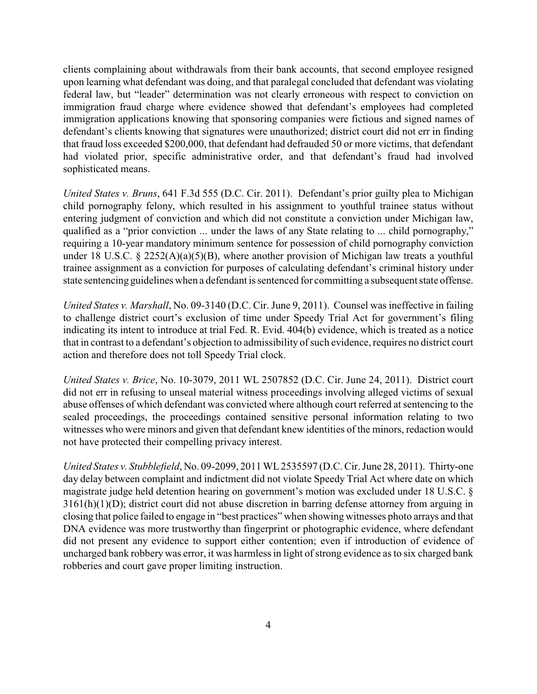clients complaining about withdrawals from their bank accounts, that second employee resigned upon learning what defendant was doing, and that paralegal concluded that defendant was violating federal law, but "leader" determination was not clearly erroneous with respect to conviction on immigration fraud charge where evidence showed that defendant's employees had completed immigration applications knowing that sponsoring companies were fictious and signed names of defendant's clients knowing that signatures were unauthorized; district court did not err in finding that fraud loss exceeded \$200,000, that defendant had defrauded 50 or more victims, that defendant had violated prior, specific administrative order, and that defendant's fraud had involved sophisticated means.

*United States v. Bruns*, 641 F.3d 555 (D.C. Cir. 2011). Defendant's prior guilty plea to Michigan child pornography felony, which resulted in his assignment to youthful trainee status without entering judgment of conviction and which did not constitute a conviction under Michigan law, qualified as a "prior conviction ... under the laws of any State relating to ... child pornography," requiring a 10-year mandatory minimum sentence for possession of child pornography conviction under 18 U.S.C. § 2252(A)(a)(5)(B), where another provision of Michigan law treats a youthful trainee assignment as a conviction for purposes of calculating defendant's criminal history under state sentencing guidelines when a defendant is sentenced for committing a subsequent state offense.

*United States v. Marshall*, No. 09-3140 (D.C. Cir. June 9, 2011). Counsel was ineffective in failing to challenge district court's exclusion of time under Speedy Trial Act for government's filing indicating its intent to introduce at trial Fed. R. Evid. 404(b) evidence, which is treated as a notice that in contrast to a defendant's objection to admissibility of such evidence, requires no district court action and therefore does not toll Speedy Trial clock.

*United States v. Brice*, No. 10-3079, 2011 WL 2507852 (D.C. Cir. June 24, 2011). District court did not err in refusing to unseal material witness proceedings involving alleged victims of sexual abuse offenses of which defendant was convicted where although court referred at sentencing to the sealed proceedings, the proceedings contained sensitive personal information relating to two witnesses who were minors and given that defendant knew identities of the minors, redaction would not have protected their compelling privacy interest.

*United States v. Stubblefield*, No. 09-2099, 2011 WL2535597 (D.C. Cir. June 28, 2011). Thirty-one day delay between complaint and indictment did not violate Speedy Trial Act where date on which magistrate judge held detention hearing on government's motion was excluded under 18 U.S.C. § 3161(h)(1)(D); district court did not abuse discretion in barring defense attorney from arguing in closing that police failed to engage in "best practices" when showing witnesses photo arrays and that DNA evidence was more trustworthy than fingerprint or photographic evidence, where defendant did not present any evidence to support either contention; even if introduction of evidence of uncharged bank robbery was error, it was harmless in light of strong evidence as to six charged bank robberies and court gave proper limiting instruction.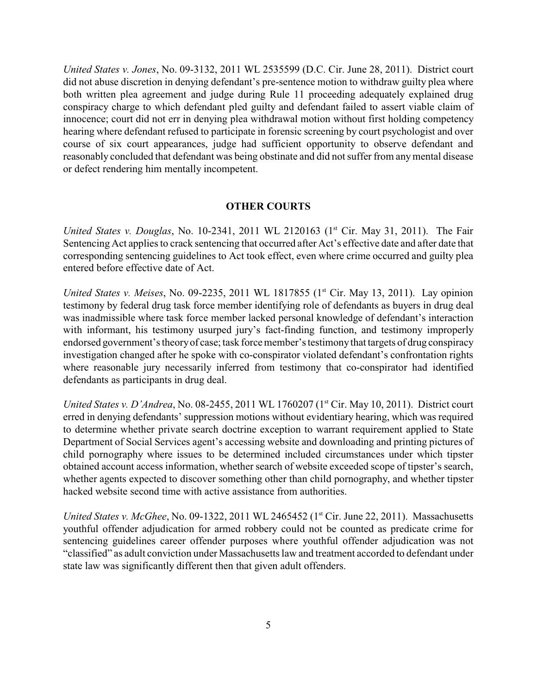*United States v. Jones*, No. 09-3132, 2011 WL 2535599 (D.C. Cir. June 28, 2011). District court did not abuse discretion in denying defendant's pre-sentence motion to withdraw guilty plea where both written plea agreement and judge during Rule 11 proceeding adequately explained drug conspiracy charge to which defendant pled guilty and defendant failed to assert viable claim of innocence; court did not err in denying plea withdrawal motion without first holding competency hearing where defendant refused to participate in forensic screening by court psychologist and over course of six court appearances, judge had sufficient opportunity to observe defendant and reasonably concluded that defendant was being obstinate and did not suffer from anymental disease or defect rendering him mentally incompetent.

#### **OTHER COURTS**

*United States v. Douglas*, No. 10-2341, 2011 WL 2120163 (1<sup>st</sup> Cir. May 31, 2011). The Fair Sentencing Act applies to crack sentencing that occurred after Act's effective date and after date that corresponding sentencing guidelines to Act took effect, even where crime occurred and guilty plea entered before effective date of Act.

*United States v. Meises*, No. 09-2235, 2011 WL 1817855 (1<sup>st</sup> Cir. May 13, 2011). Lay opinion testimony by federal drug task force member identifying role of defendants as buyers in drug deal was inadmissible where task force member lacked personal knowledge of defendant's interaction with informant, his testimony usurped jury's fact-finding function, and testimony improperly endorsed government's theoryof case; task force member's testimonythat targets of drug conspiracy investigation changed after he spoke with co-conspirator violated defendant's confrontation rights where reasonable jury necessarily inferred from testimony that co-conspirator had identified defendants as participants in drug deal.

*United States v. D'Andrea*, No. 08-2455, 2011 WL 1760207 (1<sup>st</sup> Cir. May 10, 2011). District court erred in denying defendants' suppression motions without evidentiary hearing, which was required to determine whether private search doctrine exception to warrant requirement applied to State Department of Social Services agent's accessing website and downloading and printing pictures of child pornography where issues to be determined included circumstances under which tipster obtained account access information, whether search of website exceeded scope of tipster's search, whether agents expected to discover something other than child pornography, and whether tipster hacked website second time with active assistance from authorities.

*United States v. McGhee*, No. 09-1322, 2011 WL 2465452 (1<sup>st</sup> Cir. June 22, 2011). Massachusetts youthful offender adjudication for armed robbery could not be counted as predicate crime for sentencing guidelines career offender purposes where youthful offender adjudication was not "classified" as adult conviction under Massachusetts law and treatment accorded to defendant under state law was significantly different then that given adult offenders.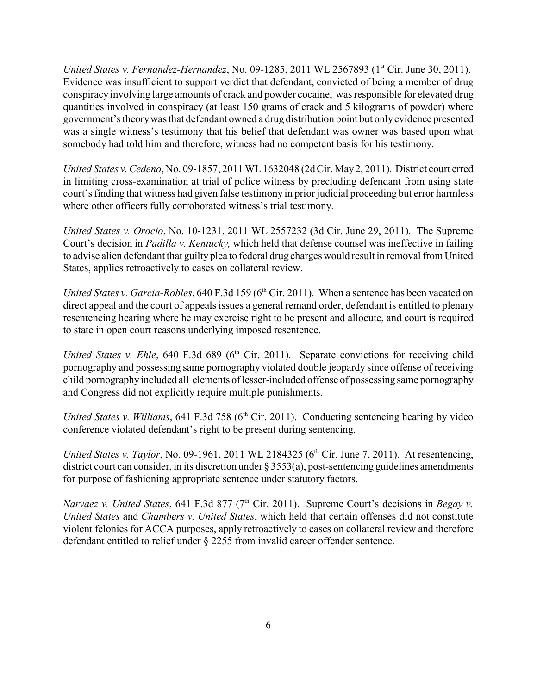*United States v. Fernandez-Hernandez*, No. 09-1285, 2011 WL 2567893 (1<sup>st</sup> Cir. June 30, 2011). Evidence was insufficient to support verdict that defendant, convicted of being a member of drug conspiracy involving large amounts of crack and powder cocaine, was responsible for elevated drug quantities involved in conspiracy (at least 150 grams of crack and 5 kilograms of powder) where government's theorywas that defendant owned a drug distribution point but onlyevidence presented was a single witness's testimony that his belief that defendant was owner was based upon what somebody had told him and therefore, witness had no competent basis for his testimony.

*United States v. Cedeno*, No. 09-1857, 2011 WL1632048 (2d Cir. May 2, 2011). District court erred in limiting cross-examination at trial of police witness by precluding defendant from using state court's finding that witness had given false testimony in prior judicial proceeding but error harmless where other officers fully corroborated witness's trial testimony.

*United States v. Orocio*, No. 10-1231, 2011 WL 2557232 (3d Cir. June 29, 2011). The Supreme Court's decision in *Padilla v. Kentucky,* which held that defense counsel was ineffective in failing to advise alien defendant that guilty plea to federal drug charges would result in removal from United States, applies retroactively to cases on collateral review.

*United States v. Garcia-Robles*, 640 F.3d 159 (6<sup>th</sup> Cir. 2011). When a sentence has been vacated on direct appeal and the court of appeals issues a general remand order, defendant is entitled to plenary resentencing hearing where he may exercise right to be present and allocute, and court is required to state in open court reasons underlying imposed resentence.

*United States v. Ehle*, 640 F.3d 689 (6<sup>th</sup> Cir. 2011). Separate convictions for receiving child pornography and possessing same pornography violated double jeopardy since offense of receiving child pornographyincluded all elements of lesser-included offense of possessing same pornography and Congress did not explicitly require multiple punishments.

*United States v. Williams*, 641 F.3d 758 (6<sup>th</sup> Cir. 2011). Conducting sentencing hearing by video conference violated defendant's right to be present during sentencing.

United States v. Taylor, No. 09-1961, 2011 WL 2184325 (6<sup>th</sup> Cir. June 7, 2011). At resentencing, district court can consider, in its discretion under § 3553(a), post-sentencing guidelines amendments for purpose of fashioning appropriate sentence under statutory factors.

*Narvaez v. United States, 641 F.3d 877 (7<sup>th</sup> Cir. 2011). Supreme Court's decisions in <i>Begay v. United States* and *Chambers v. United States*, which held that certain offenses did not constitute violent felonies for ACCA purposes, apply retroactively to cases on collateral review and therefore defendant entitled to relief under § 2255 from invalid career offender sentence.